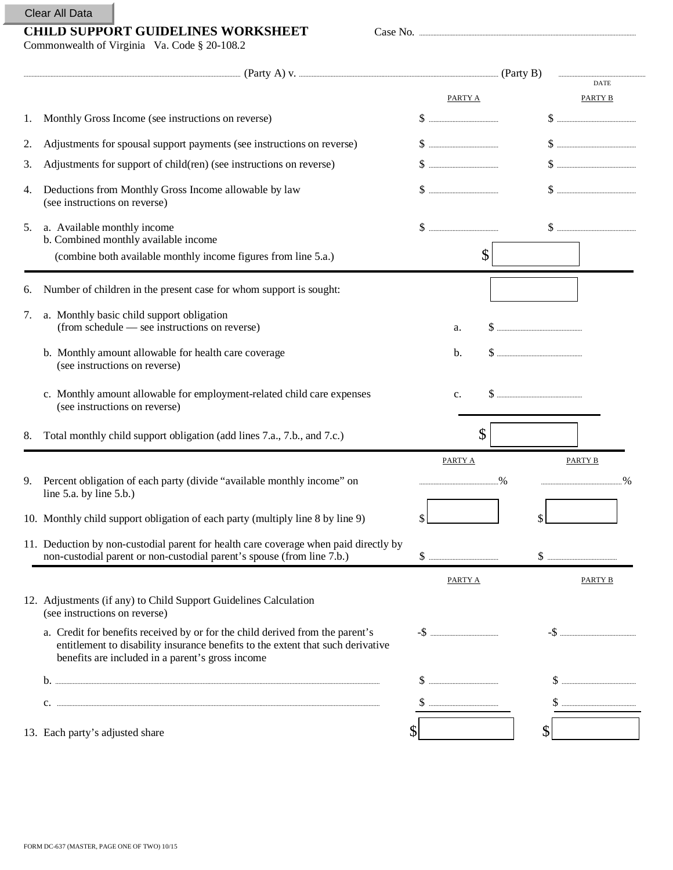## Clear All Data

## **CHILD SUPPORT GUIDELINES WORKSHEET** Case No. .........................................................................................................................................

**Example 21** (Party B) **Example 21** 

PARTY A PARTY B

DATE

| Commonwealth of Virginia Va. Code § 20-108.2 |                                                    |
|----------------------------------------------|----------------------------------------------------|
|                                              |                                                    |
| 1.                                           | Monthly Gross Income (see instructions on reverse) |

| 1. | Monthly Gross Income (see instructions on reverse)                                                                                                                                                                   |                                                                                                                                                                                                                                                                                                                                                                                                                                                                                                                                                                                                                                                                                       |                      |
|----|----------------------------------------------------------------------------------------------------------------------------------------------------------------------------------------------------------------------|---------------------------------------------------------------------------------------------------------------------------------------------------------------------------------------------------------------------------------------------------------------------------------------------------------------------------------------------------------------------------------------------------------------------------------------------------------------------------------------------------------------------------------------------------------------------------------------------------------------------------------------------------------------------------------------|----------------------|
| 2. | Adjustments for spousal support payments (see instructions on reverse)                                                                                                                                               |                                                                                                                                                                                                                                                                                                                                                                                                                                                                                                                                                                                                                                                                                       |                      |
| 3. | Adjustments for support of child(ren) (see instructions on reverse)                                                                                                                                                  |                                                                                                                                                                                                                                                                                                                                                                                                                                                                                                                                                                                                                                                                                       |                      |
| 4. | Deductions from Monthly Gross Income allowable by law<br>(see instructions on reverse)                                                                                                                               |                                                                                                                                                                                                                                                                                                                                                                                                                                                                                                                                                                                                                                                                                       |                      |
| 5. | a. Available monthly income<br>b. Combined monthly available income<br>(combine both available monthly income figures from line 5.a.)                                                                                | \$                                                                                                                                                                                                                                                                                                                                                                                                                                                                                                                                                                                                                                                                                    |                      |
| 6. | Number of children in the present case for whom support is sought:                                                                                                                                                   |                                                                                                                                                                                                                                                                                                                                                                                                                                                                                                                                                                                                                                                                                       |                      |
| 7. | a. Monthly basic child support obligation<br>(from schedule — see instructions on reverse)                                                                                                                           | a.                                                                                                                                                                                                                                                                                                                                                                                                                                                                                                                                                                                                                                                                                    |                      |
|    | b. Monthly amount allowable for health care coverage<br>(see instructions on reverse)                                                                                                                                | b.                                                                                                                                                                                                                                                                                                                                                                                                                                                                                                                                                                                                                                                                                    |                      |
|    | c. Monthly amount allowable for employment-related child care expenses<br>(see instructions on reverse)                                                                                                              | c.                                                                                                                                                                                                                                                                                                                                                                                                                                                                                                                                                                                                                                                                                    |                      |
| 8. | Total monthly child support obligation (add lines 7.a., 7.b., and 7.c.)                                                                                                                                              | \$                                                                                                                                                                                                                                                                                                                                                                                                                                                                                                                                                                                                                                                                                    |                      |
|    |                                                                                                                                                                                                                      | <b>PARTY A</b>                                                                                                                                                                                                                                                                                                                                                                                                                                                                                                                                                                                                                                                                        | PARTY B              |
| 9. | Percent obligation of each party (divide "available monthly income" on<br>line $5.a.$ by line $5.b.$ )                                                                                                               |                                                                                                                                                                                                                                                                                                                                                                                                                                                                                                                                                                                                                                                                                       | $\frac{9}{6}$<br>.96 |
|    | 10. Monthly child support obligation of each party (multiply line 8 by line 9)                                                                                                                                       | \$                                                                                                                                                                                                                                                                                                                                                                                                                                                                                                                                                                                                                                                                                    | \$                   |
|    | 11. Deduction by non-custodial parent for health care coverage when paid directly by<br>non-custodial parent or non-custodial parent's spouse (from line 7.b.)                                                       |                                                                                                                                                                                                                                                                                                                                                                                                                                                                                                                                                                                                                                                                                       |                      |
|    |                                                                                                                                                                                                                      | PARTY A                                                                                                                                                                                                                                                                                                                                                                                                                                                                                                                                                                                                                                                                               | <b>PARTY B</b>       |
|    | 12. Adjustments (if any) to Child Support Guidelines Calculation<br>(see instructions on reverse)                                                                                                                    |                                                                                                                                                                                                                                                                                                                                                                                                                                                                                                                                                                                                                                                                                       |                      |
|    | a. Credit for benefits received by or for the child derived from the parent's<br>entitlement to disability insurance benefits to the extent that such derivative<br>benefits are included in a parent's gross income |                                                                                                                                                                                                                                                                                                                                                                                                                                                                                                                                                                                                                                                                                       |                      |
|    |                                                                                                                                                                                                                      |                                                                                                                                                                                                                                                                                                                                                                                                                                                                                                                                                                                                                                                                                       |                      |
|    |                                                                                                                                                                                                                      | $\text{\Large $\$}\text{\Large $\dots$}\text{\Large $\dots$}\text{\Large $\dots$}\text{\Large $\dots$}\text{\Large $\dots$}\text{\Large $\dots$}\text{\Large $\dots$}\text{\Large $\dots$}\text{\Large $\dots$}\text{\Large $\dots$}\text{\Large $\dots$}\text{\Large $\dots$}\text{\Large $\dots$}\text{\Large $\dots$}\text{\Large $\dots$}\text{\Large $\dots$}\text{\Large $\dots$}\text{\Large $\dots$}\text{\Large $\dots$}\text{\Large $\dots$}\text{\Large $\dots$}\text{\Large $\dots$}\text{\Large $\dots$}\text{\Large $\dots$}\text{\Large $\dots$}\text{\Large $\dots$}\text{\Large $\dots$}\text{\Large $\dots$}\text{\Large $\dots$}\text{\Large $\dots$}\text{\Large$ |                      |
|    | 13. Each party's adjusted share                                                                                                                                                                                      |                                                                                                                                                                                                                                                                                                                                                                                                                                                                                                                                                                                                                                                                                       | \$                   |